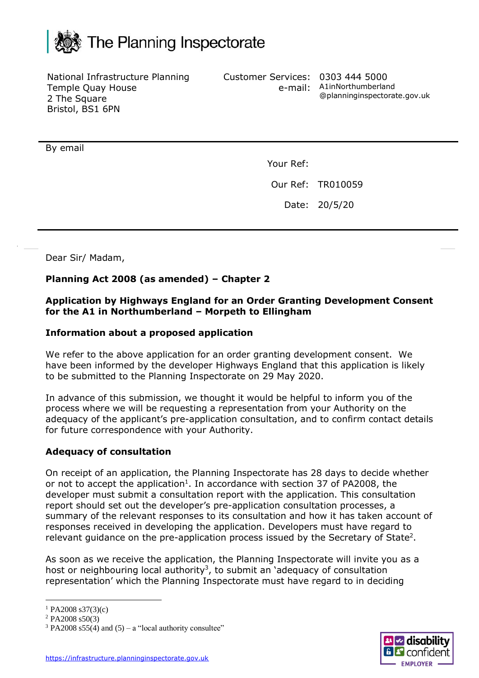

National Infrastructure Planning Temple Quay House 2 The Square Bristol, BS1 6PN

Customer Services: 0303 444 5000

e-mail: A1inNorthumberland @planninginspectorate.gov.uk

By email

Your Ref:

Our Ref: TR010059

Date: 20/5/20

Dear Sir/ Madam,

# **Planning Act 2008 (as amended) – Chapter 2**

### **Application by Highways England for an Order Granting Development Consent for the A1 in Northumberland – Morpeth to Ellingham**

#### **Information about a proposed application**

We refer to the above application for an order granting development consent. We have been informed by the developer Highways England that this application is likely to be submitted to the Planning Inspectorate on 29 May 2020.

In advance of this submission, we thought it would be helpful to inform you of the process where we will be requesting a representation from your Authority on the adequacy of the applicant's pre-application consultation, and to confirm contact details for future correspondence with your Authority.

## **Adequacy of consultation**

On receipt of an application, the Planning Inspectorate has 28 days to decide whether or not to accept the application<sup>1</sup>. In accordance with section 37 of PA2008, the developer must submit a consultation report with the application. This consultation report should set out the developer's pre-application consultation processes, a summary of the relevant responses to its consultation and how it has taken account of responses received in developing the application. Developers must have regard to relevant guidance on the pre-application process issued by the Secretary of State<sup>2</sup>.

As soon as we receive the application, the Planning Inspectorate will invite you as a host or neighbouring local authority<sup>3</sup>, to submit an 'adequacy of consultation representation' which the Planning Inspectorate must have regard to in deciding



 $1$  PA2008 s37(3)(c)

 $2$  PA2008 s50(3)

 $3$  PA2008 s55(4) and (5) – a "local authority consultee"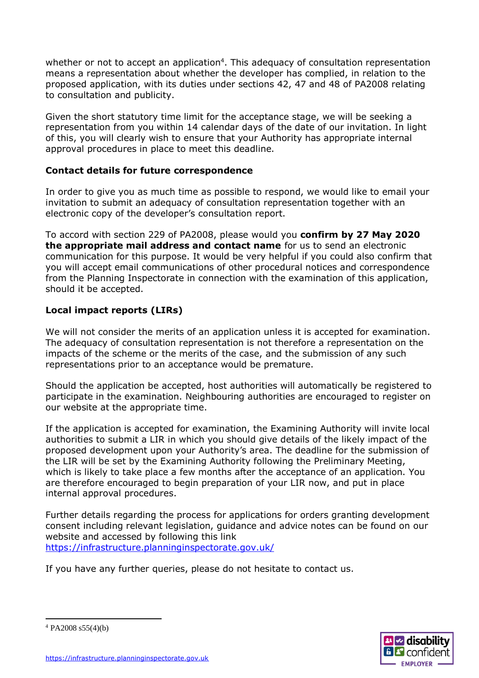whether or not to accept an application<sup>4</sup>. This adequacy of consultation representation means a representation about whether the developer has complied, in relation to the proposed application, with its duties under sections 42, 47 and 48 of PA2008 relating to consultation and publicity.

Given the short statutory time limit for the acceptance stage, we will be seeking a representation from you within 14 calendar days of the date of our invitation. In light of this, you will clearly wish to ensure that your Authority has appropriate internal approval procedures in place to meet this deadline.

# **Contact details for future correspondence**

In order to give you as much time as possible to respond, we would like to email your invitation to submit an adequacy of consultation representation together with an electronic copy of the developer's consultation report.

To accord with section 229 of PA2008, please would you **confirm by 27 May 2020 the appropriate mail address and contact name** for us to send an electronic communication for this purpose. It would be very helpful if you could also confirm that you will accept email communications of other procedural notices and correspondence from the Planning Inspectorate in connection with the examination of this application, should it be accepted.

# **Local impact reports (LIRs)**

We will not consider the merits of an application unless it is accepted for examination. The adequacy of consultation representation is not therefore a representation on the impacts of the scheme or the merits of the case, and the submission of any such representations prior to an acceptance would be premature.

Should the application be accepted, host authorities will automatically be registered to participate in the examination. Neighbouring authorities are encouraged to register on our website at the appropriate time.

If the application is accepted for examination, the Examining Authority will invite local authorities to submit a LIR in which you should give details of the likely impact of the proposed development upon your Authority's area. The deadline for the submission of the LIR will be set by the Examining Authority following the Preliminary Meeting, which is likely to take place a few months after the acceptance of an application. You are therefore encouraged to begin preparation of your LIR now, and put in place internal approval procedures.

Further details regarding the process for applications for orders granting development consent including relevant legislation, guidance and advice notes can be found on our website and accessed by following this link [https://infrastructure.planninginspectorate.gov.uk/](http://infrastructure.planninginspectorate.gov.uk/)

If you have any further queries, please do not hesitate to contact us.



 $4$  PA2008 s55(4)(b)